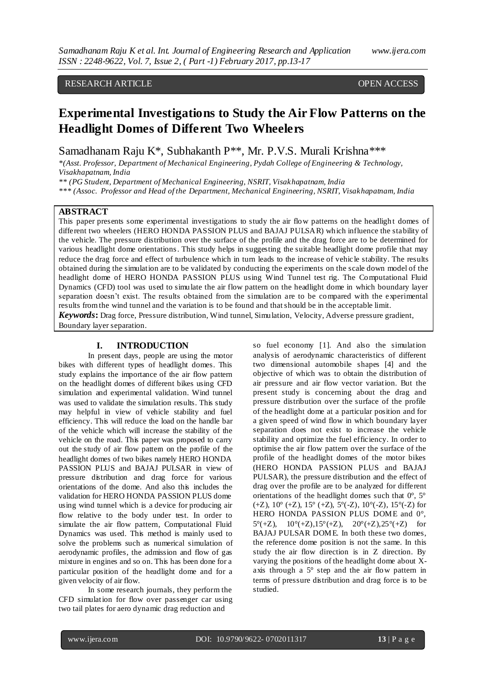# RESEARCH ARTICLE **OPEN ACCESS**

# **Experimental Investigations to Study the Air Flow Patterns on the Headlight Domes of Different Two Wheelers**

Samadhanam Raju K\*, Subhakanth P\*\*, Mr. P.V.S. Murali Krishna\*\*\*

*\*(Asst. Professor, Department of Mechanical Engineering, Pydah College of Engineering & Technology, Visakhapatnam, India*

*\*\* (PG Student, Department of Mechanical Engineering, NSRIT, Visakhapatnam, India*

*\*\*\* (Assoc. Professor and Head of the Department, Mechanical Engineering, NSRIT, Visakhapatnam, India*

# **ABSTRACT**

This paper presents some experimental investigations to study the air flow patterns on the headligh t domes of different two wheelers (HERO HONDA PASSION PLUS and BAJAJ PULSAR) which influence the stability of the vehicle. The pressure distribution over the surface of the profile and the drag force are to be determined for various headlight dome orientations. This study helps in suggesting the suitable headlight dome profile that may reduce the drag force and effect of turbulence which in turn leads to the increase of vehic le stability. The results obtained during the simulation are to be validated by conducting the experiments on the scale down model of the headlight dome of HERO HONDA PASSION PLUS using Wind Tunnel test rig. The Computational Fluid Dynamics (CFD) tool was used to simulate the air flow pattern on the headlight dome in which boundary layer separation doesn't exist. The results obtained from the simulation are to be compared with the experimental results from the wind tunnel and the variation is to be found and that should be in the acceptable limit. *Keywords***:** Drag force, Pressure distribution, Wind tunnel, Simulation, Velocity, Adverse pressure gradient, Boundary layer separation.

## **I. INTRODUCTION**

In present days, people are using the motor bikes with different types of headlight domes. This study explains the importance of the air flow pattern on the headlight domes of different bikes using CFD simulation and experimental validation. Wind tunnel was used to validate the simulation results. This study may helpful in view of vehicle stability and fuel efficiency. This will reduce the load on the handle bar of the vehicle which will increase the stability of the vehicle on the road. This paper was proposed to carry out the study of air flow pattern on the profile of the headlight domes of two bikes namely HERO HONDA PASSION PLUS and BAJAJ PULSAR in view of pressure distribution and drag force for various orientations of the dome. And also this includes the validation for HERO HONDA PASSION PLUS dome using wind tunnel which is a device for producing air flow relative to the body under test. In order to simulate the air flow pattern, Computational Fluid Dynamics was used. This method is mainly used to solve the problems such as numerical simulation of aerodynamic profiles, the admission and flow of gas mixture in engines and so on. This has been done for a particular position of the headlight dome and for a given velocity of air flow.

In some research journals, they perform the CFD simulation for flow over passenger car using two tail plates for aero dynamic drag reduction and

so fuel economy [1]. And also the simulation analysis of aerodynamic characteristics of different two dimensional automobile shapes [4] and the objective of which was to obtain the distribution of air pressure and air flow vector variation. But the present study is concerning about the drag and pressure distribution over the surface of the profile of the headlight dome at a particular position and for a given speed of wind flow in which boundary layer separation does not exist to increase the vehicle stability and optimize the fuel efficiency. In order to optimise the air flow pattern over the surface of the profile of the headlight domes of the motor bikes (HERO HONDA PASSION PLUS and BAJAJ PULSAR), the pressure distribution and the effect of drag over the profile are to be analyzed for different orientations of the headlight domes such that  $0^{\circ}$ ,  $5^{\circ}$  $(+Z)$ ,  $10^{\circ}$   $(+Z)$ ,  $15^{\circ}$   $(+Z)$ ,  $5^{\circ}$  $(-Z)$ ,  $10^{\circ}$  $(-Z)$ ,  $15^{\circ}$  $(-Z)$  for HERO HONDA PASSION PLUS DOME and 0°, 5°(+Z),  $10^{\circ}$ (+Z),15°(+Z),  $20^{\circ}$ (+Z),25°(+Z) for BAJAJ PULSAR DOME. In both these two domes, the reference dome position is not the same. In this study the air flow direction is in Z direction. By varying the positions of the headlight dome about Xaxis through a 5° step and the air flow pattern in terms of pressure distribution and drag force is to be studied.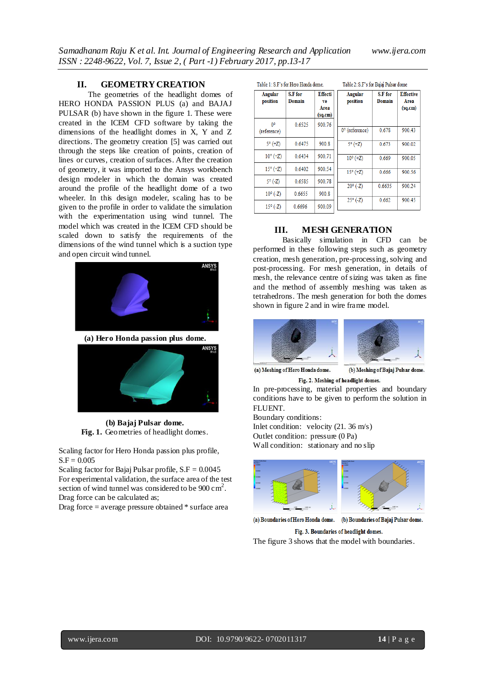## **II. GEOMETRY CREATION**

The geometries of the headlight domes of HERO HONDA PASSION PLUS (a) and BAJAJ PULSAR (b) have shown in the figure 1. These were created in the ICEM CFD software by taking the dimensions of the headlight domes in X, Y and Z directions. The geometry creation [5] was carried out through the steps like creation of points, creation of lines or curves, creation of surfaces. After the creation of geometry, it was imported to the Ansys workbench design modeler in which the domain was created around the profile of the headlight dome of a two wheeler. In this design modeler, scaling has to be given to the profile in order to validate the simulation with the experimentation using wind tunnel. The model which was created in the ICEM CFD should be scaled down to satisfy the requirements of the dimensions of the wind tunnel which is a suction type and open circuit wind tunnel.



**(a) Hero Honda passion plus dome.** 



**(b) Bajaj Pulsar dome. Fig. 1.** Geometries of headlight domes.

Scaling factor for Hero Honda passion plus profile,  $S.F = 0.005$ 

Scaling factor for Bajaj Pulsar profile,  $S.F = 0.0045$ For experimental validation, the surface area of the test section of wind tunnel was considered to be  $900 \text{ cm}^2$ . Drag force can be calculated as;

Drag force = average pressure obtained \* surface area

| Table 1: S.F's for Hero Honda dome. |                   |                                         | Table 2: S.F's for Bajaj Pulsar dome |                   |                                     |
|-------------------------------------|-------------------|-----------------------------------------|--------------------------------------|-------------------|-------------------------------------|
| Angular<br>position                 | S.F for<br>Domain | <b>Effecti</b><br>ve<br>Area<br>(sq.cm) | Angular<br>position                  | S.F for<br>Domain | <b>Effective</b><br>Area<br>(sq.cm) |
| 0 <sup>o</sup><br>(reference)       | 0.6525            | 900.76                                  | $0^\circ$ (reference)                | 0.678             | 900.43                              |
| $5^{\circ}$ (+Z)                    | 0.6475            | 900.8                                   | $5^{\circ}$ (+Z)                     | 0.673             | 900.02                              |
| $10^{\circ}$ (+Z)                   | 0.6434            | 900.71                                  | $10^{\circ}$ (+Z)                    | 0.669             | 900.05                              |
| $15^{\circ}$ (+Z)                   | 0.6402            | 900.54                                  | $15^{\circ}$ (+Z)                    | 0.666             | 900.56                              |
| $5^{\circ}$ (-Z)                    | 0.6585            | 900.78                                  | $20^{\circ}$ (-Z)                    | 0.6635            | 900.24                              |
| $10^{\circ}$ (-Z)                   | 0.6655            | 900.8                                   |                                      |                   |                                     |
| $15^{\circ}$ (-Z)                   | 0.6696            | 900.09                                  | $25^{\circ}$ (-Z)                    | 0.662             | 900.45                              |

# **III. MESH GENERATION**

Basically simulation in CFD can be performed in these following steps such as geometry creation, mesh generation, pre-processing, solving and post-processing. For mesh generation, in details of mesh, the relevance centre of sizing was taken as fine and the method of assembly meshing was taken as tetrahedrons. The mesh generation for both the domes shown in figure 2 and in wire frame model.



(a) Meshing of Hero Honda dome.

(b) Meshing of Bajaj Pulsar dome. Fig. 2. Meshing of headlight domes.

In pre-processing, material properties and boundary conditions have to be given to perform the solution in FLUENT.

Boundary conditions:

Inlet condition: velocity (21. 36 m/s)

Outlet condition: pressure (0 Pa)

Wall condition: stationary and no slip



(a) Boundaries of Hero Honda dome. (b) Boundaries of Bajaj Pulsar dome. Fig. 3. Boundaries of headlight domes.

The figure 3 shows that the model with boundaries.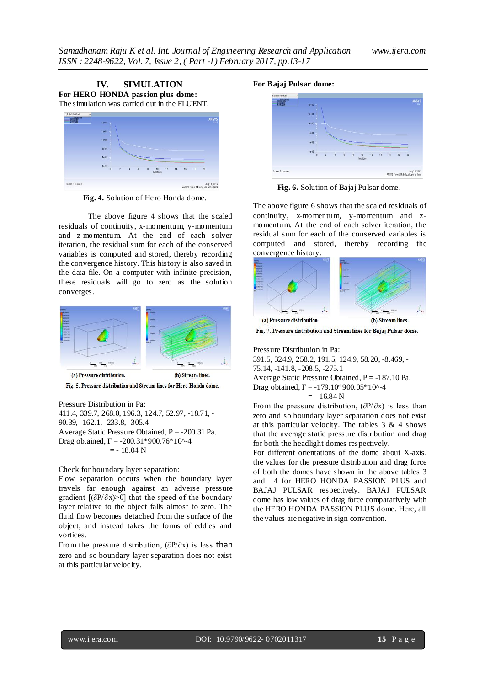



**Fig. 4.** Solution of Hero Honda dome.

The above figure 4 shows that the scaled residuals of continuity, x-momentum, y-momentum and z-momentum. At the end of each solver iteration, the residual sum for each of the conserved variables is computed and stored, thereby recording the convergence history. This history is also saved in the data file. On a computer with infinite precision, these residuals will go to zero as the solution converges.



Fig. 5. Pressure distribution and Stream lines for Hero Honda dome.

Pressure Distribution in Pa: 411.4, 339.7, 268.0, 196.3, 124.7, 52.97, -18.71, - 90.39, -162.1, -233.8, -305.4 Average Static Pressure Obtained,  $P = -200.31$  Pa. Drag obtained, F = -200.31\*900.76\*10^-4  $= -18.04$  N

Check for boundary layer separation:

Flow separation occurs when the boundary layer travels far enough against an adverse pressure gradient [(∂P/∂x)>0] that the speed of the boundary layer relative to the object falls almost to zero. The fluid flow becomes detached from the surface of the object, and instead takes the forms of eddies and vortices.

From the pressure distribution,  $(\partial P/\partial x)$  is less than zero and so boundary layer separation does not exist at this particular velocity.





**Fig. 6.** Solution of Bajaj Pulsar dome.

The above figure 6 shows that the scaled residuals of continuity, x-momentum, y-momentum and zmomentum. At the end of each solver iteration, the residual sum for each of the conserved variables is computed and stored, thereby recording the convergence history.



Fig. 7. Pressure distribution and Stream lines for Bajaj Pulsar dome.

Pressure Distribution in Pa:

391.5, 324.9, 258.2, 191.5, 124.9, 58.20, -8.469, - 75.14, -141.8, -208.5, -275.1 Average Static Pressure Obtained, P = -187.10 Pa. Drag obtained,  $F = -179.10*900.05*10^2-4$  $= -16.84 N$ 

From the pressure distribution,  $(\partial P/\partial x)$  is less than zero and so boundary layer separation does not exist at this particular velocity. The tables  $3 \& 4$  shows that the average static pressure distribution and drag for both the headlight domes respectively.

For different orientations of the dome about X-axis, the values for the pressure distribution and drag force of both the domes have shown in the above tables 3 and 4 for HERO HONDA PASSION PLUS and BAJAJ PULSAR respectively. BAJAJ PULSAR dome has low values of drag force comparatively with the HERO HONDA PASSION PLUS dome. Here, all the values are negative in sign convention.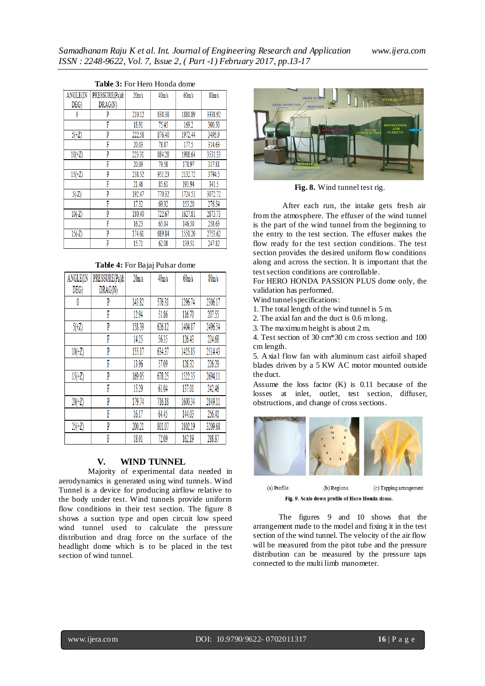| ANGLE(IN | PRESSURE(Pa)& | 20 <sub>m/s</sub> | 40m/s  | 60m/s   | 80 <sub>m/s</sub> |
|----------|---------------|-------------------|--------|---------|-------------------|
| DEG)     | DRAG(N)       |                   |        |         |                   |
| 0        | P             | 210.12            | 838.38 | 1880.89 | 3338.92           |
|          | F             | 18.91             | 75.45  | 169.2   | 300.50            |
| $5(+Z)$  | P             | 222.58            | 876.40 | 1972.44 | 3495.9            |
|          | F             | 20.03             | 78.87  | 177.5   | 314.63            |
| $10(+Z)$ | P             | 223.31            | 884.28 | 1988.64 | 3531.33           |
|          | F             | 20.09             | 79.58  | 178.97  | 317.81            |
| $15(+Z)$ | P             | 238.52            | 951.23 | 2132.72 | 3794.5            |
|          | F             | 21.46             | 85.61  | 191.94  | 341.5             |
| $5(-Z)$  | P             | 192.47            | 770.32 | 1724.51 | 3072.72           |
|          | F             | 17.32             | 69.32  | 155.20  | 276.54            |
| $10(-Z)$ | P             | 180.40            | 722.67 | 1627.81 | 2873.73           |
|          | F             | 16.23             | 65.04  | 146.50  | 258.63            |
| $15(-Z)$ | P             | 174.61            | 689.84 | 1550.20 | 2753.62           |
|          | F             | 15.71             | 62.08  | 139.51  | 247.82            |

#### **Table 3:** For Hero Honda dome

#### **Table 4:** For Bajaj Pulsar dome

| ANGLE(IN | PRESSURE(Pa)& | 20 <sub>m/s</sub> | 40m/s  | 60m/s   | 80 <sub>m/s</sub> |
|----------|---------------|-------------------|--------|---------|-------------------|
| DEG)     | DRAG(N)       |                   |        |         |                   |
| 0        | P             | 143.82            | 576.31 | 1296.74 | 2306.17           |
|          | F             | 12.94             | 51.86  | 116.70  | 207.55            |
| $5(+Z)$  | P             | 158.39            | 626.12 | 1404.87 | 2496.54           |
|          | F             | 14.25             | 56.35  | 126.43  | 224.68            |
| $10(+Z)$ | P             | 155.17            | 634.37 | 1425.85 | 2514.43           |
|          | F             | 13.96             | 57.09  | 128.32  | 226.29            |
| $15(+Z)$ | P             | 169.95            | 678.25 | 1522.35 | 2694.11           |
|          | F             | 15.29             | 61.04  | 137.01  | 242.46            |
| $20(+Z)$ | P             | 179.74            | 716.18 | 1600.34 | 2849.11           |
|          | F             | 16.17             | 64.45  | 144.03  | 256.41            |
| $25(+Z)$ | P             | 200.21            | 801.07 | 1802.19 | 3209.68           |
|          | F             | 18.01             | 72.09  | 162.19  | 288.87            |

### **V. WIND TUNNEL**

Majority of experimental data needed in aerodynamics is generated using wind tunnels. Wind Tunnel is a device for producing airflow relative to the body under test. Wind tunnels provide uniform flow conditions in their test section. The figure 8 shows a suction type and open circuit low speed wind tunnel used to calculate the pressure distribution and drag force on the surface of the headlight dome which is to be placed in the test section of wind tunnel.



**Fig. 8.** Wind tunnel test rig.

After each run, the intake gets fresh air from the atmosphere. The effuser of the wind tunnel is the part of the wind tunnel from the beginning to the entry to the test section. The effuser makes the flow ready for the test section conditions. The test section provides the desired uniform flow conditions along and across the section. It is important that the test section conditions are controllable.

For HERO HONDA PASSION PLUS dome only, the validation has performed.

Wind tunnel specifications:

1. The total length of the wind tunnel is 5 m.

2. The axial fan and the duct is 0.6 m long.

3. The maximum height is about 2 m.

4. Test section of 30 cm\*30 cm cross section and 100 cm length.

5. Axial flow fan with aluminum cast airfoil shaped blades driven by a 5 KW AC motor mounted outside the duct.

Assume the loss factor (K) is 0.11 because of the losses at inlet, outlet, test section, diffuser, obstructions, and change of cross sections.



(a) Profile. (b) Regions. (c) Tapping arrangement Fig. 9. Scale down profile of Hero Honda dome.

The figures 9 and 10 shows that the arrangement made to the model and fixing it in the test section of the wind tunnel. The velocity of the air flow will be measured from the pitot tube and the pressure distribution can be measured by the pressure taps connected to the multi limb manometer.